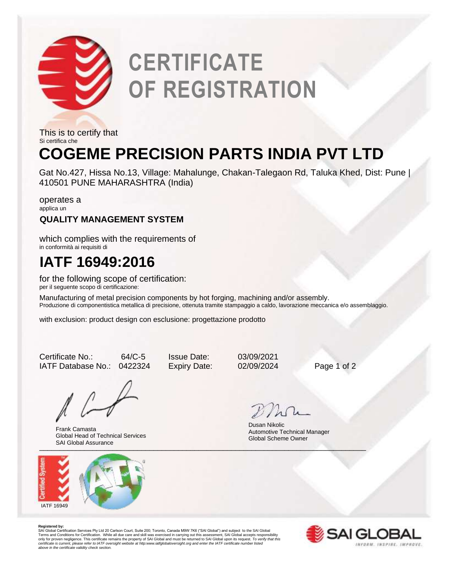

# **CERTIFICATE OF REGISTRATION**

This is to certify that Si certifica che

# **COGEME PRECISION PARTS INDIA PVT LTD**

Gat No.427, Hissa No.13, Village: Mahalunge, Chakan-Talegaon Rd, Taluka Khed, Dist: Pune | 410501 PUNE MAHARASHTRA (India)

operates a applica un

## **QUALITY MANAGEMENT SYSTEM**

which complies with the requirements of in conformità ai requisiti di

## **IATF 16949:2016**

for the following scope of certification: per il seguente scopo di certificazione:

Manufacturing of metal precision components by hot forging, machining and/or assembly. Produzione di componentistica metallica di precisione, ottenuta tramite stampaggio a caldo, lavorazione meccanica e/o assemblaggio.

with exclusion: product design con esclusione: progettazione prodotto

Certificate No.: 64/C-5 Issue Date: 03/09/2021 IATF Database No.: 0422324 Expiry Date: 02/09/2024 Page 1 of 2

Uni Ulubai Assurance Frank Camasta Global Head of Technical Services SAI Global Assurance



Dusan Nikolic Automotive Technical Manager Global Scheme Owner

**Registered by:**<br>SAI Global Certification Services Pty Ltd 20 Carlson Court, Suite 200; Toronto, Canada M9W 7K6 ("SAI Global") and subject to the SAI Global<br>Terms and Conditions for Certification. While all due care and sk *certificate is current, please refer to IATF oversight website at http:www.iatfglobaloversight.org and enter the IATF certificate number listed above in the certificate validity check section.*